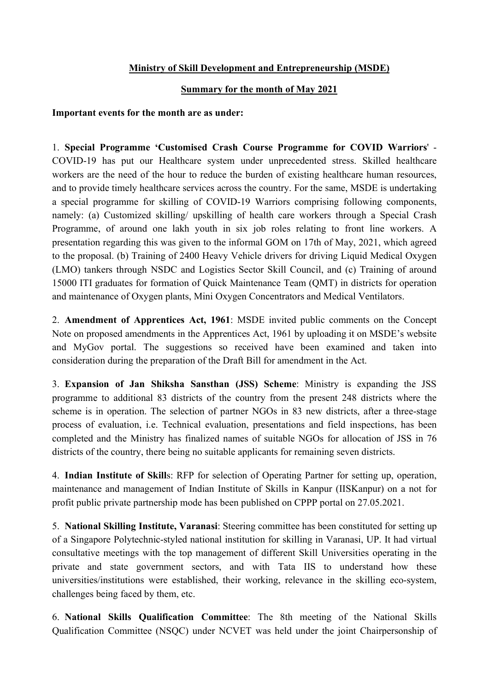## Ministry of Skill Development and Entrepreneurship (MSDE)

## Summary for the month of May 2021

## Important events for the month are as under:

1. Special Programme 'Customised Crash Course Programme for COVID Warriors' - COVID-19 has put our Healthcare system under unprecedented stress. Skilled healthcare workers are the need of the hour to reduce the burden of existing healthcare human resources, and to provide timely healthcare services across the country. For the same, MSDE is undertaking a special programme for skilling of COVID-19 Warriors comprising following components, namely: (a) Customized skilling/ upskilling of health care workers through a Special Crash Programme, of around one lakh youth in six job roles relating to front line workers. A presentation regarding this was given to the informal GOM on 17th of May, 2021, which agreed to the proposal. (b) Training of 2400 Heavy Vehicle drivers for driving Liquid Medical Oxygen (LMO) tankers through NSDC and Logistics Sector Skill Council, and (c) Training of around 15000 ITI graduates for formation of Quick Maintenance Team (QMT) in districts for operation and maintenance of Oxygen plants, Mini Oxygen Concentrators and Medical Ventilators.

2. Amendment of Apprentices Act, 1961: MSDE invited public comments on the Concept Note on proposed amendments in the Apprentices Act, 1961 by uploading it on MSDE's website and MyGov portal. The suggestions so received have been examined and taken into consideration during the preparation of the Draft Bill for amendment in the Act.

3. Expansion of Jan Shiksha Sansthan (JSS) Scheme: Ministry is expanding the JSS programme to additional 83 districts of the country from the present 248 districts where the scheme is in operation. The selection of partner NGOs in 83 new districts, after a three-stage process of evaluation, i.e. Technical evaluation, presentations and field inspections, has been completed and the Ministry has finalized names of suitable NGOs for allocation of JSS in 76 districts of the country, there being no suitable applicants for remaining seven districts.

4. Indian Institute of Skills: RFP for selection of Operating Partner for setting up, operation, maintenance and management of Indian Institute of Skills in Kanpur (IISKanpur) on a not for profit public private partnership mode has been published on CPPP portal on 27.05.2021.

5. National Skilling Institute, Varanasi: Steering committee has been constituted for setting up of a Singapore Polytechnic-styled national institution for skilling in Varanasi, UP. It had virtual consultative meetings with the top management of different Skill Universities operating in the private and state government sectors, and with Tata IIS to understand how these universities/institutions were established, their working, relevance in the skilling eco-system, challenges being faced by them, etc.

6. National Skills Qualification Committee: The 8th meeting of the National Skills Qualification Committee (NSQC) under NCVET was held under the joint Chairpersonship of